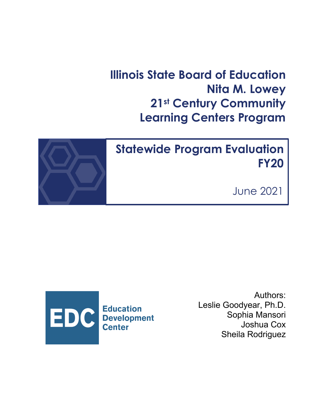# **Illinois State Board of Education Nita M. Lowey 21st Century Community Learning Centers Program**



# **Statewide Program Evaluation FY20**

June 2021



Authors: Leslie Goodyear, Ph.D. Sophia Mansori Joshua Cox Sheila Rodriguez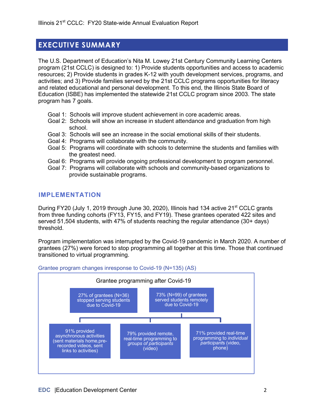## **EXECUTIVE SUMMARY**

The U.S. Department of Education's Nita M. Lowey 21st Century Community Learning Centers program (21st CCLC) is designed to: 1) Provide students opportunities and access to academic resources; 2) Provide students in grades K-12 with youth development services, programs, and activities; and 3) Provide families served by the 21st CCLC programs opportunities for literacy and related educational and personal development. To this end, the Illinois State Board of Education (ISBE) has implemented the statewide 21st CCLC program since 2003. The state program has 7 goals.

- Goal 1: Schools will improve student achievement in core academic areas.
- Goal 2: Schools will show an increase in student attendance and graduation from high school.
- Goal 3: Schools will see an increase in the social emotional skills of their students.
- Goal 4: Programs will collaborate with the community.
- Goal 5: Programs will coordinate with schools to determine the students and families with the greatest need.
- Goal 6: Programs will provide ongoing professional development to program personnel.
- Goal 7: Programs will collaborate with schools and community-based organizations to provide sustainable programs.

### **IMPLEMENTATION**

During FY20 (July 1, 2019 through June 30, 2020), Illinois had 134 active 21<sup>st</sup> CCLC grants from three funding cohorts (FY13, FY15, and FY19). These grantees operated 422 sites and served 51,504 students, with 47% of students reaching the regular attendance (30+ days) threshold.

Program implementation was interrupted by the Covid-19 pandemic in March 2020. A number of grantees (27%) were forced to stop programming all together at this time. Those that continued transitioned to virtual programming.



Grantee program changes inresponse to Covid-19 (N=135) (AS)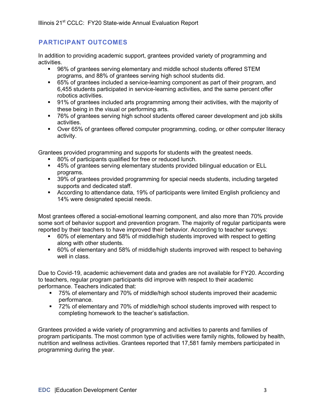## **PARTICIPANT OUTCOMES**

In addition to providing academic support, grantees provided variety of programming and activities.

- § 96% of grantees serving elementary and middle school students offered STEM programs, and 88% of grantees serving high school students did.
- § 65% of grantees included a service-learning component as part of their program, and 6,455 students participated in service-learning activities, and the same percent offer robotics activities.
- § 91% of grantees included arts programming among their activities, with the majority of these being in the visual or performing arts.
- § 76% of grantees serving high school students offered career development and job skills activities.
- § Over 65% of grantees offered computer programming, coding, or other computer literacy activity.

Grantees provided programming and supports for students with the greatest needs.

- 80% of participants qualified for free or reduced lunch.
- 45% of grantees serving elementary students provided bilingual education or ELL programs.
- § 39% of grantees provided programming for special needs students, including targeted supports and dedicated staff.
- According to attendance data, 19% of participants were limited English proficiency and 14% were designated special needs.

Most grantees offered a social-emotional learning component, and also more than 70% provide some sort of behavior support and prevention program. The majority of regular participants were reported by their teachers to have improved their behavior. According to teacher surveys:

- § 60% of elementary and 58% of middle/high students improved with respect to getting along with other students.
- 60% of elementary and 58% of middle/high students improved with respect to behaving well in class.

Due to Covid-19, academic achievement data and grades are not available for FY20. According to teachers, regular program participants did improve with respect to their academic performance. Teachers indicated that:

- § 75% of elementary and 70% of middle/high school students improved their academic performance.
- 72% of elementary and 70% of middle/high school students improved with respect to completing homework to the teacher's satisfaction.

Grantees provided a wide variety of programming and activities to parents and families of program participants. The most common type of activities were family nights, followed by health, nutrition and wellness activities. Grantees reported that 17,581 family members participated in programming during the year.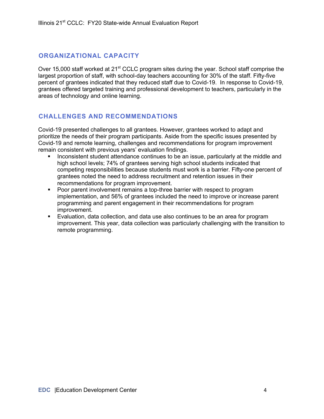## **ORGANIZATIONAL CAPACITY**

Over 15,000 staff worked at 21<sup>st</sup> CCLC program sites during the year. School staff comprise the largest proportion of staff, with school-day teachers accounting for 30% of the staff. Fifty-five percent of grantees indicated that they reduced staff due to Covid-19. In response to Covid-19, grantees offered targeted training and professional development to teachers, particularly in the areas of technology and online learning.

## **CHALLENGES AND RECOMMENDATIONS**

Covid-19 presented challenges to all grantees. However, grantees worked to adapt and prioritize the needs of their program participants. Aside from the specific issues presented by Covid-19 and remote learning, challenges and recommendations for program improvement remain consistent with previous years' evaluation findings.

- § Inconsistent student attendance continues to be an issue, particularly at the middle and high school levels; 74% of grantees serving high school students indicated that competing responsibilities because students must work is a barrier. Fifty-one percent of grantees noted the need to address recruitment and retention issues in their recommendations for program improvement.
- § Poor parent involvement remains a top-three barrier with respect to program implementation, and 56% of grantees included the need to improve or increase parent programming and parent engagement in their recommendations for program improvement.
- § Evaluation, data collection, and data use also continues to be an area for program improvement. This year, data collection was particularly challenging with the transition to remote programming.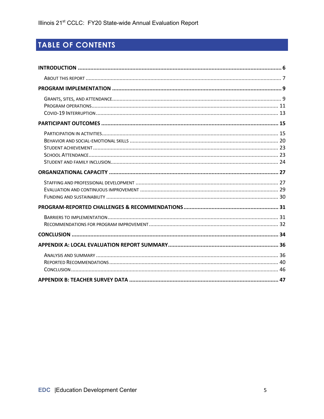## TABLE OF CONTENTS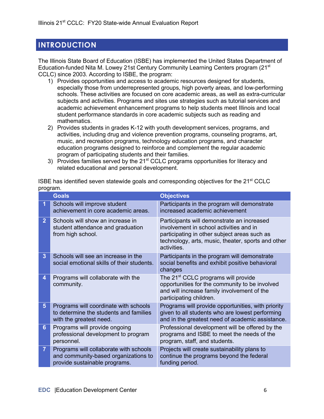## **INTRODUCTION**

The Illinois State Board of Education (ISBE) has implemented the United States Department of Education-funded Nita M. Lowey 21st Century Community Learning Centers program (21st CCLC) since 2003. According to ISBE, the program:

- 1) Provides opportunities and access to academic resources designed for students, especially those from underrepresented groups, high poverty areas, and low-performing schools. These activities are focused on core academic areas, as well as extra-curricular subjects and activities. Programs and sites use strategies such as tutorial services and academic achievement enhancement programs to help students meet Illinois and local student performance standards in core academic subjects such as reading and mathematics.
- 2) Provides students in grades K-12 with youth development services, programs, and activities, including drug and violence prevention programs, counseling programs, art, music, and recreation programs, technology education programs, and character education programs designed to reinforce and complement the regular academic program of participating students and their families.
- 3) Provides families served by the 21<sup>st</sup> CCLC programs opportunities for literacy and related educational and personal development.

|                | <b>Goals</b>                                                                                                    | <b>Objectives</b>                                                                                                                                                                                          |
|----------------|-----------------------------------------------------------------------------------------------------------------|------------------------------------------------------------------------------------------------------------------------------------------------------------------------------------------------------------|
| 1              | Schools will improve student<br>achievement in core academic areas.                                             | Participants in the program will demonstrate<br>increased academic achievement                                                                                                                             |
| 2 <sup>1</sup> | Schools will show an increase in<br>student attendance and graduation<br>from high school.                      | Participants will demonstrate an increased<br>involvement in school activities and in<br>participating in other subject areas such as<br>technology, arts, music, theater, sports and other<br>activities. |
| 3              | Schools will see an increase in the<br>social emotional skills of their students.                               | Participants in the program will demonstrate<br>social benefits and exhibit positive behavioral<br>changes                                                                                                 |
| 4              | Programs will collaborate with the<br>community.                                                                | The 21 <sup>st</sup> CCLC programs will provide<br>opportunities for the community to be involved<br>and will increase family involvement of the<br>participating children.                                |
| 5 <sup>5</sup> | Programs will coordinate with schools<br>to determine the students and families<br>with the greatest need.      | Programs will provide opportunities, with priority<br>given to all students who are lowest performing<br>and in the greatest need of academic assistance.                                                  |
| $6\phantom{a}$ | Programs will provide ongoing<br>professional development to program<br>personnel.                              | Professional development will be offered by the<br>programs and ISBE to meet the needs of the<br>program, staff, and students.                                                                             |
| $\overline{7}$ | Programs will collaborate with schools<br>and community-based organizations to<br>provide sustainable programs. | Projects will create sustainability plans to<br>continue the programs beyond the federal<br>funding period.                                                                                                |

ISBE has identified seven statewide goals and corresponding objectives for the 21<sup>st</sup> CCLC program.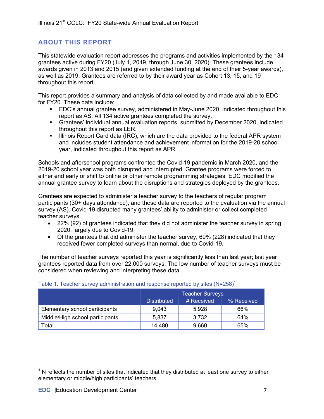## **ABOUT THIS REPORT**

This statewide evaluation report addresses the programs and activities implemented by the 134 grantees active during FY20 (July 1, 2019, through June 30, 2020). These grantees include awards given in 2013 and 2015 (and given extended funding at the end of their 5-year awards), as well as 2019. Grantees are referred to by their award year as Cohort 13, 15, and 19 throughout this report.

This report provides a summary and analysis of data collected by and made available to EDC for FY20. These data include:

- § EDC's annual grantee survey, administered in May-June 2020, indicated throughout this report as AS. All 134 active grantees completed the survey.
- Grantees' individual annual evaluation reports, submitted by December 2020, indicated throughout this report as LER.
- Illinois Report Card data (IRC), which are the data provided to the federal APR system and includes student attendance and achievement information for the 2019-20 school year, indicated throughout this report as APR.

Schools and afterschool programs confronted the Covid-19 pandemic in March 2020, and the 2019-20 school year was both disrupted and interrupted. Grantee programs were forced to either end early or shift to online or other remote programming strategies. EDC modified the annual grantee survey to learn about the disruptions and strategies deployed by the grantees.

Grantees are expected to administer a teacher survey to the teachers of regular program participants (30+ days attendance), and these data are reported to the evaluation via the annual survey (AS). Covid-19 disrupted many grantees' ability to administer or collect completed teacher surveys.

- 22% (92) of grantees indicated that they did not administer the teacher survey in spring 2020, largely due to Covid-19.
- Of the grantees that did administer the teacher survey, 69% (228) indicated that they received fewer completed surveys than normal, due to Covid-19.

The number of teacher surveys reported this year is significantly less than last year; last year grantees reported data from over 22,000 surveys. The low number of teacher surveys must be considered when reviewing and interpreting these data.

|                                 | <b>Teacher Surveys</b> |            |            |
|---------------------------------|------------------------|------------|------------|
|                                 | <b>Distributed</b>     | # Received | % Received |
| Elementary school participants  | 9,043                  | 5,928      | 66%        |
| Middle/High school participants | 5,837                  | 3,732      | 64%        |
| Total                           | 14,480                 | 9,660      | 65%        |

#### Table 1. Teacher survey administration and response reported by sites  $(N=258)^1$

 $1$  N reflects the number of sites that indicated that they distributed at least one survey to either elementary or middle/high participants' teachers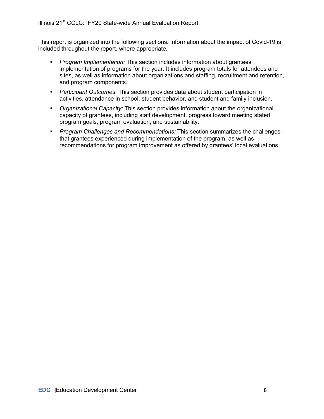This report is organized into the following sections. Information about the impact of Covid-19 is included throughout the report, where appropriate.

- § *Program Implementation:* This section includes information about grantees' implementation of programs for the year. It includes program totals for attendees and sites, as well as information about organizations and staffing, recruitment and retention, and program components.
- § *Participant Outcomes*: This section provides data about student participation in activities, attendance in school, student behavior, and student and family inclusion.
- § *Organizational Capacity:* This section provides information about the organizational capacity of grantees, including staff development, progress toward meeting stated program goals, program evaluation, and sustainability.
- § *Program Challenges and Recommendations:* This section summarizes the challenges that grantees experienced during implementation of the program, as well as recommendations for program improvement as offered by grantees' local evaluations.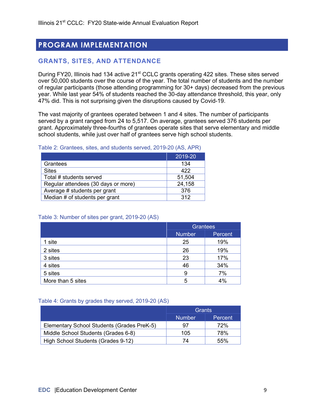## **PROGRAM IMPLEMENTATION**

## **GRANTS, SITES, AND ATTENDANCE**

During FY20, Illinois had 134 active 21<sup>st</sup> CCLC grants operating 422 sites. These sites served over 50,000 students over the course of the year. The total number of students and the number of regular participants (those attending programming for 30+ days) decreased from the previous year. While last year 54% of students reached the 30-day attendance threshold, this year, only 47% did. This is not surprising given the disruptions caused by Covid-19.

The vast majority of grantees operated between 1 and 4 sites. The number of participants served by a grant ranged from 24 to 5,517. On average, grantees served 376 students per grant. Approximately three-fourths of grantees operate sites that serve elementary and middle school students, while just over half of grantees serve high school students.

#### Table 2: Grantees, sites, and students served, 2019-20 (AS, APR)

|                                     | 2019-20 |
|-------------------------------------|---------|
| Grantees                            | 134     |
| <b>Sites</b>                        | 422     |
| Total # students served             | 51,504  |
| Regular attendees (30 days or more) | 24,158  |
| Average # students per grant        | 376     |
| Median # of students per grant      | 312     |

#### Table 3: Number of sites per grant, 2019-20 (AS)

|                   | Grantees      |         |
|-------------------|---------------|---------|
|                   | <b>Number</b> | Percent |
| 1 site            | 25            | 19%     |
| 2 sites           | 26            | 19%     |
| 3 sites           | 23            | 17%     |
| 4 sites           | 46            | 34%     |
| 5 sites           | 9             | 7%      |
| More than 5 sites | 5             | 4%      |

#### Table 4: Grants by grades they served, 2019-20 (AS)

|                                            | Grants        |         |
|--------------------------------------------|---------------|---------|
|                                            | <b>Number</b> | Percent |
| Elementary School Students (Grades PreK-5) | 97            | 72%     |
| Middle School Students (Grades 6-8)        | 105           | 78%     |
| High School Students (Grades 9-12)         | 74            | 55%     |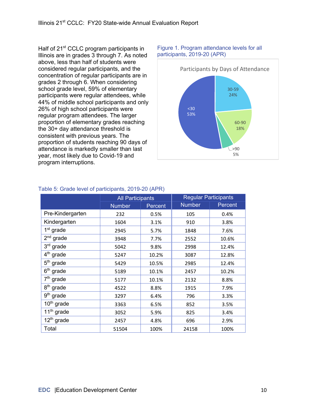Half of 21<sup>st</sup> CCLC program participants in Illinois are in grades 3 through 7. As noted above, less than half of students were considered regular participants, and the concentration of regular participants are in grades 2 through 6. When considering school grade level, 59% of elementary participants were regular attendees, while 44% of middle school participants and only 26% of high school participants were regular program attendees. The larger proportion of elementary grades reaching the 30+ day attendance threshold is consistent with previous years. The proportion of students reaching 90 days of attendance is markedly smaller than last year, most likely due to Covid-19 and program interruptions.



#### Figure 1. Program attendance levels for all participants, 2019-20 (APR)

|                        | <b>All Participants</b> |         | <b>Regular Participants</b> |         |
|------------------------|-------------------------|---------|-----------------------------|---------|
|                        | <b>Number</b>           | Percent | <b>Number</b>               | Percent |
| Pre-Kindergarten       | 232                     | 0.5%    | 105                         | 0.4%    |
| Kindergarten           | 1604                    | 3.1%    | 910                         | 3.8%    |
| 1 <sup>st</sup> grade  | 2945                    | 5.7%    | 1848                        | 7.6%    |
| $2nd$ grade            | 3948                    | 7.7%    | 2552                        | 10.6%   |
| 3rd grade              | 5042                    | 9.8%    | 2998                        | 12.4%   |
| 4 <sup>th</sup> grade  | 5247                    | 10.2%   | 3087                        | 12.8%   |
| $5th$ grade            | 5429                    | 10.5%   | 2985                        | 12.4%   |
| $6th$ grade            | 5189                    | 10.1%   | 2457                        | 10.2%   |
| 7 <sup>th</sup> grade  | 5177                    | 10.1%   | 2132                        | 8.8%    |
| 8 <sup>th</sup> grade  | 4522                    | 8.8%    | 1915                        | 7.9%    |
| $9th$ grade            | 3297                    | 6.4%    | 796                         | 3.3%    |
| 10 <sup>th</sup> grade | 3363                    | 6.5%    | 852                         | 3.5%    |
| $11th$ grade           | 3052                    | 5.9%    | 825                         | 3.4%    |
| $12th$ grade           | 2457                    | 4.8%    | 696                         | 2.9%    |

Total 51504 100% 24158 100%

#### Table 5: Grade level of participants, 2019-20 (APR)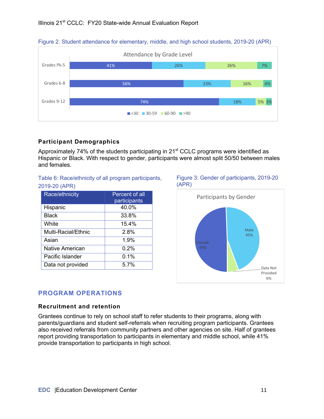



#### **Participant Demographics**

Approximately 74% of the students participating in  $21<sup>st</sup>$  CCLC programs were identified as Hispanic or Black. With respect to gender, participants were almost split 50/50 between males and females.

#### Table 6: Race/ethnicity of all program participants, 2019-20 (APR)

| Race/ethnicity         | Percent of all<br>participants |
|------------------------|--------------------------------|
| Hispanic               | 40.0%                          |
| Black                  | 33.8%                          |
| White                  | 15.4%                          |
| Multi-Racial/Ethnic    | 2.8%                           |
| Asian                  | 1.9%                           |
| <b>Native American</b> | 0.2%                           |
| Pacific Islander       | 0.1%                           |
| Data not provided      | 5.7%                           |

#### Figure 3: Gender of participants, 2019-20 (APR)



## **PROGRAM OPERATIONS**

#### **Recruitment and retention**

Grantees continue to rely on school staff to refer students to their programs, along with parents/guardians and student self-referrals when recruiting program participants. Grantees also received referrals from community partners and other agencies on site. Half of grantees report providing transportation to participants in elementary and middle school, while 41% provide transportation to participants in high school.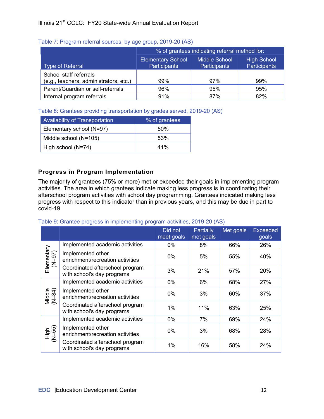|                                        | % of grantees indicating referral method for:                          |                     |              |  |
|----------------------------------------|------------------------------------------------------------------------|---------------------|--------------|--|
|                                        | <b>Middle School</b><br><b>High School</b><br><b>Elementary School</b> |                     |              |  |
| <b>Type of Referral</b>                | Participants                                                           | <b>Participants</b> | Participants |  |
| School staff referrals                 |                                                                        |                     |              |  |
| (e.g., teachers, administrators, etc.) | 99%                                                                    | 97%                 | 99%          |  |
| Parent/Guardian or self-referrals      | 96%                                                                    | 95%                 | 95%          |  |
| Internal program referrals             | 91%                                                                    | 87%                 | 82%          |  |

#### Table 7: Program referral sources, by age group, 2019-20 (AS)

Table 8: Grantees providing transportation by grades served, 2019-20 (AS)

| Availability of Transportation | % of grantees |
|--------------------------------|---------------|
| Elementary school (N=97)       | 50%           |
| Middle school (N=105)          | 53%           |
| High school (N=74)             | 41%           |

## **Progress in Program Implementation**

The majority of grantees (75% or more) met or exceeded their goals in implementing program activities. The area in which grantees indicate making less progress is in coordinating their afterschool program activities with school day programming. Grantees indicated making less progress with respect to this indicator than in previous years, and this may be due in part to covid-19

Did not meet goals **Partially** met goals Met goals | Exceeded goals Elementary Elementary<br>(N=97) Implemented academic activities 0% 8% 66% 26% Implemented other enrichment/recreation activities 0% 5% 55% 40% Coordinated afterschool program Upper and the school program<br>
with school's day programs  $\begin{vmatrix} 3\% & 21\% \\ 2\ \end{vmatrix}$  57% 20% Middle (N=84) Implemented academic activities 0% 6% 68% 27% Implemented other enrichment/recreation activities  $\begin{vmatrix} 0\% & 3\% \\ 0 & -3\% \end{vmatrix}$  60% 37% Coordinated afterschool program vith school's day programs  $\begin{vmatrix} 1\% & 1\% \\ 1\% & 63\% \end{vmatrix}$  25% High N=55) (Implemented academic activities 0% 7% 69% 24% Implemented other enrichment/recreation activities 0% 3% 68% 28% Coordinated afterschool program Upper and the school program<br>with school's day programs  $\begin{vmatrix} 1\% & 16\% \\ 1\% & 58\% \end{vmatrix}$  24%

Table 9: Grantee progress in implementing program activities, 2019-20 (AS)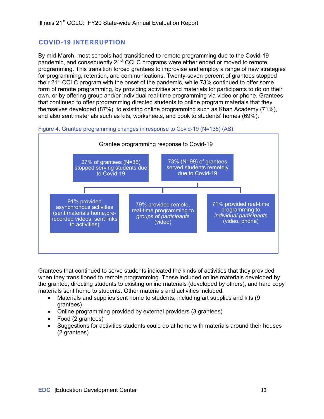## **COVID-19 INTERRUPTION**

By mid-March, most schools had transitioned to remote programming due to the Covid-19 pandemic, and consequently 21<sup>st</sup> CCLC programs were either ended or moved to remote programming. This transition forced grantees to improvise and employ a range of new strategies for programming, retention, and communications. Twenty-seven percent of grantees stopped their  $21^{st}$  CCLC program with the onset of the pandemic, while 73% continued to offer some form of remote programming, by providing activities and materials for participants to do on their own, or by offering group and/or individual real-time programming via video or phone. Grantees that continued to offer programming directed students to online program materials that they themselves developed (87%), to existing online programming such as Khan Academy (71%), and also sent materials such as kits, worksheets, and book to students' homes (69%).





Grantees that continued to serve students indicated the kinds of activities that they provided when they transitioned to remote programming. These included online materials developed by the grantee, directing students to existing online materials (developed by others), and hard copy materials sent home to students. Other materials and activities included:

- Materials and supplies sent home to students, including art supplies and kits (9) grantees)
- Online programming provided by external providers (3 grantees)
- Food (2 grantees)
- Suggestions for activities students could do at home with materials around their houses (2 grantees)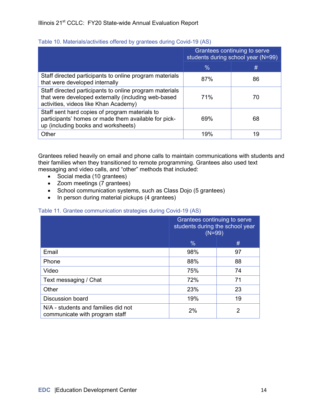|                                                                                                                                                         | Grantees continuing to serve<br>students during school year (N=99) |    |
|---------------------------------------------------------------------------------------------------------------------------------------------------------|--------------------------------------------------------------------|----|
|                                                                                                                                                         | $\%$                                                               | #  |
| Staff directed participants to online program materials<br>that were developed internally                                                               | 87%                                                                | 86 |
| Staff directed participants to online program materials<br>that were developed externally (including web-based<br>activities, videos like Khan Academy) | 71%                                                                | 70 |
| Staff sent hard copies of program materials to<br>participants' homes or made them available for pick-<br>up (including books and worksheets)           | 69%                                                                | 68 |
| Other                                                                                                                                                   | 19%                                                                | 19 |

#### Table 10. Materials/activities offered by grantees during Covid-19 (AS)

Grantees relied heavily on email and phone calls to maintain communications with students and their families when they transitioned to remote programming. Grantees also used text messaging and video calls, and "other" methods that included:

- Social media (10 grantees)
- Zoom meetings (7 grantees)
- School communication systems, such as Class Dojo (5 grantees)
- In person during material pickups (4 grantees)

#### Table 11. Grantee communication strategies during Covid-19 (AS)

|                                                                       | Grantees continuing to serve<br>students during the school year<br>$(N=99)$ |    |
|-----------------------------------------------------------------------|-----------------------------------------------------------------------------|----|
|                                                                       | $\frac{0}{0}$                                                               | #  |
| Email                                                                 | 98%                                                                         | 97 |
| Phone                                                                 | 88%                                                                         | 88 |
| Video                                                                 | 75%                                                                         | 74 |
| Text messaging / Chat                                                 | 72%                                                                         | 71 |
| Other                                                                 | 23%                                                                         | 23 |
| <b>Discussion board</b>                                               | 19%                                                                         | 19 |
| N/A - students and families did not<br>communicate with program staff | 2%                                                                          | 2  |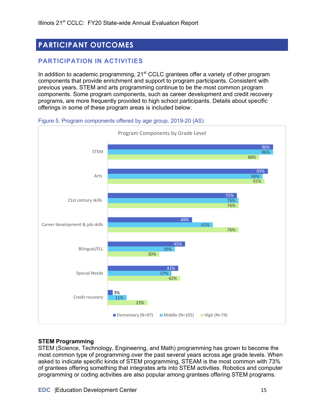## **PARTICIPANT OUTCOMES**

## **PARTICIPATION IN ACTIVITIES**

In addition to academic programming,  $21<sup>st</sup>$  CCLC grantees offer a variety of other program components that provide enrichment and support to program participants. Consistent with previous years, STEM and arts programming continue to be the most common program components. Some program components, such as career development and credit recovery programs, are more frequently provided to high school participants. Details about specific offerings in some of these program areas is included below.



Figure 5. Program components offered by age group, 2019-20 (AS)

#### **STEM Programming**

STEM (Science, Technology, Engineering, and Math) programming has grown to become the most common type of programming over the past several years across age grade levels. When asked to indicate specific kinds of STEM programming, STEAM is the most common with 73% of grantees offering something that integrates arts into STEM activities. Robotics and computer programming or coding activities are also popular among grantees offering STEM programs.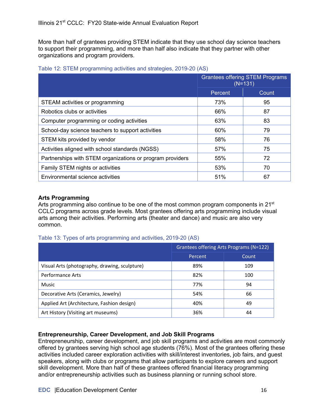More than half of grantees providing STEM indicate that they use school day science teachers to support their programming, and more than half also indicate that they partner with other organizations and program providers.

|                                                           | <b>Grantees offering STEM Programs</b><br>$(N=131)$ |       |
|-----------------------------------------------------------|-----------------------------------------------------|-------|
|                                                           | Percent                                             | Count |
| STEAM activities or programming                           | 73%                                                 | 95    |
| Robotics clubs or activities                              | 66%                                                 | 87    |
| Computer programming or coding activities                 | 63%                                                 | 83    |
| School-day science teachers to support activities         | 60%                                                 | 79    |
| STEM kits provided by vendor                              | 58%                                                 | 76    |
| Activities aligned with school standards (NGSS)           | 57%                                                 | 75    |
| Partnerships with STEM organizations or program providers | 55%                                                 | 72    |
| Family STEM nights or activities                          | 53%                                                 | 70    |
| Environmental science activities                          | 51%                                                 | 67    |

#### Table 12: STEM programming activities and strategies, 2019-20 (AS)

#### **Arts Programming**

Arts programming also continue to be one of the most common program components in  $21<sup>st</sup>$ CCLC programs across grade levels. Most grantees offering arts programming include visual arts among their activities. Performing arts (theater and dance) and music are also very common.

#### Table 13: Types of arts programming and activities, 2019-20 (AS)

|                                               | Grantees offering Arts Programs (N=122) |       |  |
|-----------------------------------------------|-----------------------------------------|-------|--|
|                                               | Percent                                 | Count |  |
| Visual Arts (photography, drawing, sculpture) | 89%                                     | 109   |  |
| <b>Performance Arts</b>                       | 82%                                     | 100   |  |
| Music                                         | 77%                                     | 94    |  |
| Decorative Arts (Ceramics, Jewelry)           | 54%                                     | 66    |  |
| Applied Art (Architecture, Fashion design)    | 40%                                     | 49    |  |
| Art History (Visiting art museums)            | 36%                                     | 44    |  |

#### **Entrepreneurship, Career Development, and Job Skill Programs**

Entrepreneurship, career development, and job skill programs and activities are most commonly offered by grantees serving high school age students (76%). Most of the grantees offering these activities included career exploration activities with skill/interest inventories, job fairs, and guest speakers, along with clubs or programs that allow participants to explore careers and support skill development. More than half of these grantees offered financial literacy programming and/or entrepreneurship activities such as business planning or running school store.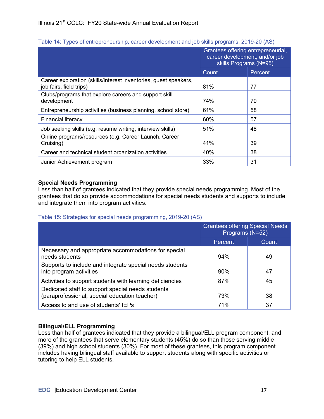|  | Table 14: Types of entrepreneurship, career development and job skills programs, 2019-20 (AS) |  |
|--|-----------------------------------------------------------------------------------------------|--|

|                                                                                             | Grantees offering entrepreneurial,<br>career development, and/or job<br>skills Programs (N=95) |         |
|---------------------------------------------------------------------------------------------|------------------------------------------------------------------------------------------------|---------|
|                                                                                             | Count                                                                                          | Percent |
| Career exploration (skills/interest inventories, guest speakers,<br>job fairs, field trips) | 81%                                                                                            | 77      |
| Clubs/programs that explore careers and support skill<br>development                        | 74%                                                                                            | 70      |
| Entrepreneurship activities (business planning, school store)                               | 61%                                                                                            | 58      |
| <b>Financial literacy</b>                                                                   | 60%                                                                                            | 57      |
| Job seeking skills (e.g. resume writing, interview skills)                                  | 51%                                                                                            | 48      |
| Online programs/resources (e.g. Career Launch, Career<br>Cruising)                          | 41%                                                                                            | 39      |
| Career and technical student organization activities                                        | 40%                                                                                            | 38      |
| Junior Achievement program                                                                  | 33%                                                                                            | 31      |

#### **Special Needs Programming**

Less than half of grantees indicated that they provide special needs programming. Most of the grantees that do so provide accommodations for special needs students and supports to include and integrate them into program activities.

#### Table 15: Strategies for special needs programming, 2019-20 (AS)

|                                                                                                    | <b>Grantees offering Special Needs</b><br>Programs (N=52) |       |
|----------------------------------------------------------------------------------------------------|-----------------------------------------------------------|-------|
|                                                                                                    | Percent                                                   | Count |
| Necessary and appropriate accommodations for special<br>needs students                             | 94%                                                       | 49    |
| Supports to include and integrate special needs students<br>into program activities                | 90%                                                       | 47    |
| Activities to support students with learning deficiencies                                          | 87%                                                       | 45    |
| Dedicated staff to support special needs students<br>(paraprofessional, special education teacher) | 73%                                                       | 38    |
| Access to and use of students' IEPs                                                                | 71%                                                       | 37    |

#### **Bilingual/ELL Programming**

Less than half of grantees indicated that they provide a bilingual/ELL program component, and more of the grantees that serve elementary students (45%) do so than those serving middle (39%) and high school students (30%). For most of these grantees, this program component includes having bilingual staff available to support students along with specific activities or tutoring to help ELL students.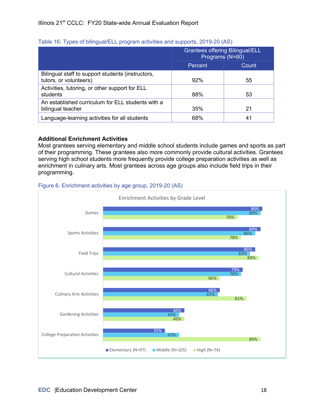|                                                                             | <b>Grantees offering Bilingual/ELL</b><br>Programs (N=60) |              |
|-----------------------------------------------------------------------------|-----------------------------------------------------------|--------------|
|                                                                             | Percent                                                   | <b>Count</b> |
| Bilingual staff to support students (instructors,<br>tutors, or volunteers) | 92%                                                       | 55           |
| Activities, tutoring, or other support for ELL<br>students                  | 88%                                                       | 53           |
| An established curriculum for ELL students with a<br>bilingual teacher      | 35%                                                       | 21           |
| Language-learning activities for all students                               | 68%                                                       | 41           |

#### Table 16: Types of bilingual/ELL program activities and supports, 2019-20 (AS)

#### **Additional Enrichment Activities**

Most grantees serving elementary and middle school students include games and sports as part of their programming. These grantees also more commonly provide cultural activities. Grantees serving high school students more frequently provide college preparation activities as well as enrichment in culinary arts. Most grantees across age groups also include field trips in their programming.



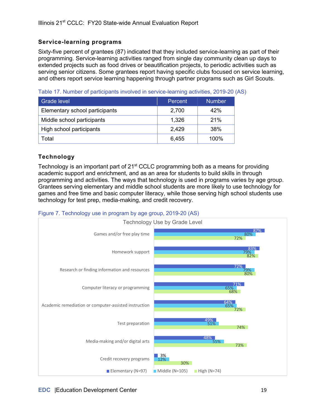#### **Service-learning programs**

Sixty-five percent of grantees (87) indicated that they included service-learning as part of their programming. Service-learning activities ranged from single day community clean up days to extended projects such as food drives or beautification projects, to periodic activities such as serving senior citizens. Some grantees report having specific clubs focused on service learning, and others report service learning happening through partner programs such as Girl Scouts.

Table 17. Number of participants involved in service-learning activities, 2019-20 (AS)

| Grade level                    | Percent | <b>Number</b> |
|--------------------------------|---------|---------------|
| Elementary school participants | 2,700   | 42%           |
| Middle school participants     | 1,326   | 21%           |
| High school participants       | 2,429   | <b>38%</b>    |
| Total                          | 6,455   | $100\%$       |

### **Technology**

Technology is an important part of  $21<sup>st</sup>$  CCLC programming both as a means for providing academic support and enrichment, and as an area for students to build skills in through programming and activities. The ways that technology is used in programs varies by age group. Grantees serving elementary and middle school students are more likely to use technology for games and free time and basic computer literacy, while those serving high school students use technology for test prep, media-making, and credit recovery.



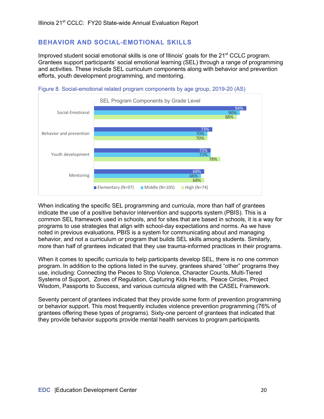### **BEHAVIOR AND SOCIAL-EMOTIONAL SKILLS**

Improved student social emotional skills is one of Illinois' goals for the 21<sup>st</sup> CCLC program. Grantees support participants' social emotional learning (SEL) through a range of programming and activities. These include SEL curriculum components along with behavior and prevention efforts, youth development programming, and mentoring.





When indicating the specific SEL programming and curricula, more than half of grantees indicate the use of a positive behavior intervention and supports system (PBIS). This is a common SEL framework used in schools, and for sites that are based in schools, it is a way for programs to use strategies that align with school-day expectations and norms. As we have noted in previous evaluations, PBIS is a system for communicating about and managing behavior, and not a curriculum or program that builds SEL skills among students. Similarly, more than half of grantees indicated that they use trauma-informed practices in their programs.

When it comes to specific curricula to help participants develop SEL, there is no one common program. In addition to the options listed in the survey, grantees shared "other" programs they use, including: Connecting the Pieces to Stop Violence, Character Counts, Multi-Tiered Systems of Support, Zones of Regulation, Capturing Kids Hearts, Peace Circles, Project Wisdom, Passports to Success, and various curricula aligned with the CASEL Framework.

Seventy percent of grantees indicated that they provide some form of prevention programming or behavior support. This most frequently includes violence prevention programming (76% of grantees offering these types of programs). Sixty-one percent of grantees that indicated that they provide behavior supports provide mental health services to program participants.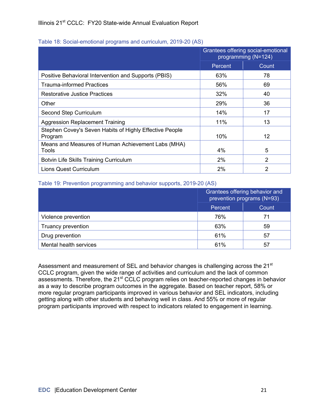#### Table 18: Social-emotional programs and curriculum, 2019-20 (AS)

|                                                                    | Grantees offering social-emotional<br>programming (N=124) |                |
|--------------------------------------------------------------------|-----------------------------------------------------------|----------------|
|                                                                    | Percent                                                   | Count          |
| Positive Behavioral Intervention and Supports (PBIS)               | 63%                                                       | 78             |
| <b>Trauma-informed Practices</b>                                   | 56%                                                       | 69             |
| <b>Restorative Justice Practices</b>                               | 32%                                                       | 40             |
| Other                                                              | 29%                                                       | 36             |
| Second Step Curriculum                                             | 14%                                                       | 17             |
| <b>Aggression Replacement Training</b>                             | 11%                                                       | 13             |
| Stephen Covey's Seven Habits of Highly Effective People<br>Program | 10%                                                       | 12             |
| Means and Measures of Human Achievement Labs (MHA)<br>Tools        | 4%                                                        | 5              |
| Botvin Life Skills Training Curriculum                             | 2%                                                        | $\overline{2}$ |
| Lions Quest Curriculum                                             | 2%                                                        | 2              |

#### Table 19: Prevention programming and behavior supports, 2019-20 (AS)

|                        | Grantees offering behavior and<br>prevention programs (N=93)<br>Count<br>Percent |    |
|------------------------|----------------------------------------------------------------------------------|----|
|                        |                                                                                  |    |
| Violence prevention    | 76%                                                                              | 71 |
| Truancy prevention     | 63%                                                                              | 59 |
| Drug prevention        | 61%                                                                              | 57 |
| Mental health services | 61%                                                                              | 57 |

Assessment and measurement of SEL and behavior changes is challenging across the 21<sup>st</sup> CCLC program, given the wide range of activities and curriculum and the lack of common assessments. Therefore, the 21<sup>st</sup> CCLC program relies on teacher-reported changes in behavior as a way to describe program outcomes in the aggregate. Based on teacher report, 58% or more regular program participants improved in various behavior and SEL indicators, including getting along with other students and behaving well in class. And 55% or more of regular program participants improved with respect to indicators related to engagement in learning.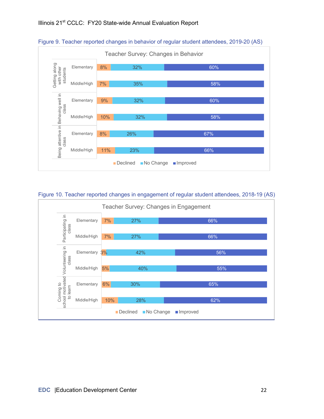

#### Figure 9. Teacher reported changes in behavior of regular student attendees, 2019-20 (AS)

#### Figure 10. Teacher reported changes in engagement of regular student attendees, 2018-19 (AS)

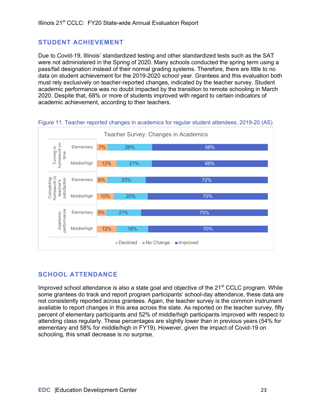## **STUDENT ACHIEVEMENT**

Due to Covid-19, Illinois' standardized testing and other standardized tests such as the SAT were not administered in the Spring of 2020. Many schools conducted the spring term using a pass/fail designation instead of their normal grading systems. Therefore, there are little to no data on student achievement for the 2019-2020 school year. Grantees and this evaluation both must rely exclusively on teacher-reported changes, indicated by the teacher survey. Student academic performance was no doubt impacted by the transition to remote schooling in March 2020. Despite that, 68% or more of students improved with regard to certain indicators of academic achievement, according to their teachers.



Figure 11. Teacher reported changes in academics for regular student attendees, 2019-20 (AS)

## **SCHOOL ATTENDANCE**

Improved school attendance is also a state goal and objective of the  $21<sup>st</sup>$  CCLC program. While some grantees do track and report program participants' school-day attendance, these data are not consistently reported across grantees. Again, the teacher survey is the common instrument available to report changes in this area across the state. As reported on the teacher survey, fifty percent of elementary participants and 52% of middle/high participants improved with respect to attending class regularly. These percentages are slightly lower than in previous years (54% for elementary and 58% for middle/high in FY19). However, given the impact of Covid-19 on schooling, this small decrease is no surprise.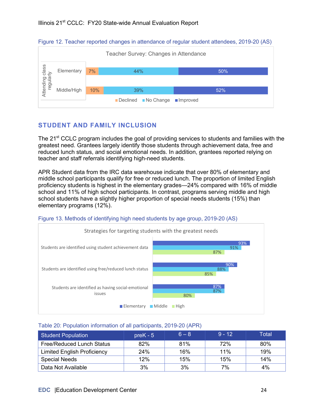



## **STUDENT AND FAMILY INCLUSION**

The 21<sup>st</sup> CCLC program includes the goal of providing services to students and families with the greatest need. Grantees largely identify those students through achievement data, free and reduced lunch status, and social emotional needs. In addition, grantees reported relying on teacher and staff referrals identifying high-need students.

APR Student data from the IRC data warehouse indicate that over 80% of elementary and middle school participants qualify for free or reduced lunch. The proportion of limited English proficiency students is highest in the elementary grades—24% compared with 16% of middle school and 11% of high school participants. In contrast, programs serving middle and high school students have a slightly higher proportion of special needs students (15%) than elementary programs (12%).





#### Table 20: Population information of all participants, 2019-20 (APR)

| <b>Student Population</b>          | $preK - 5$ | $6 - 8$ | $9 - 12$ | Total |
|------------------------------------|------------|---------|----------|-------|
| <b>Free/Reduced Lunch Status</b>   | 82%        | 81%     | 72%      | 80%   |
| <b>Limited English Proficiency</b> | 24%        | 16%     | 11%      | 19%   |
| <b>Special Needs</b>               | 12%        | 15%     | 15%      | 14%   |
| Data Not Available                 | 3%         | 3%      | 7%       | 4%    |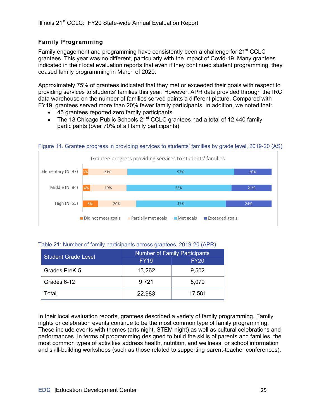### **Family Programming**

Family engagement and programming have consistently been a challenge for 21<sup>st</sup> CCLC grantees. This year was no different, particularly with the impact of Covid-19. Many grantees indicated in their local evaluation reports that even if they continued student programming, they ceased family programming in March of 2020.

Approximately 75% of grantees indicated that they met or exceeded their goals with respect to providing services to students' families this year. However, APR data provided through the IRC data warehouse on the number of families served paints a different picture. Compared with FY19, grantees served more than 20% fewer family participants. In addition, we noted that:

- 45 grantees reported zero family participants
- The 13 Chicago Public Schools 21<sup>st</sup> CCLC grantees had a total of 12,440 family participants (over 70% of all family participants)



#### Figure 14. Grantee progress in providing services to students' families by grade level, 2019-20 (AS)

#### Table 21: Number of family participants across grantees, 2019-20 (APR)

| <b>Student Grade Level</b> | <b>Number of Family Participants</b> |             |  |
|----------------------------|--------------------------------------|-------------|--|
|                            | <b>FY19</b>                          | <b>FY20</b> |  |
| Grades PreK-5              | 13,262                               | 9,502       |  |
| Grades 6-12                | 9,721                                | 8,079       |  |
| Гоtal                      | 22,983                               | 17,581      |  |

In their local evaluation reports, grantees described a variety of family programming. Family nights or celebration events continue to be the most common type of family programming. These include events with themes (arts night, STEM night) as well as cultural celebrations and performances. In terms of programming designed to build the skills of parents and families, the most common types of activities address health, nutrition, and wellness, or school information and skill-building workshops (such as those related to supporting parent-teacher conferences).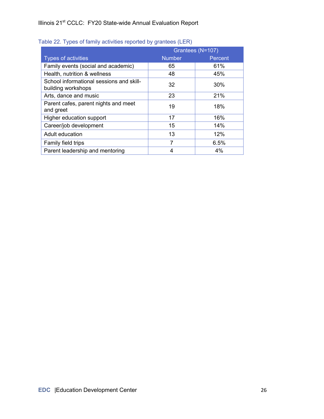|                                                                | Grantees (N=107) |         |  |
|----------------------------------------------------------------|------------------|---------|--|
| <b>Types of activities</b>                                     | <b>Number</b>    | Percent |  |
| Family events (social and academic)                            | 65               | 61%     |  |
| Health, nutrition & wellness                                   | 48               | 45%     |  |
| School informational sessions and skill-<br>building workshops | 32               | 30%     |  |
| Arts, dance and music                                          | 23               | 21%     |  |
| Parent cafes, parent nights and meet<br>and greet              | 19               | 18%     |  |
| Higher education support                                       | 17               | 16%     |  |
| Career/job development                                         | 15               | 14%     |  |
| Adult education                                                | 13               | 12%     |  |
| Family field trips                                             | 7                | 6.5%    |  |
| Parent leadership and mentoring                                | 4                | 4%      |  |

#### Table 22. Types of family activities reported by grantees (LER)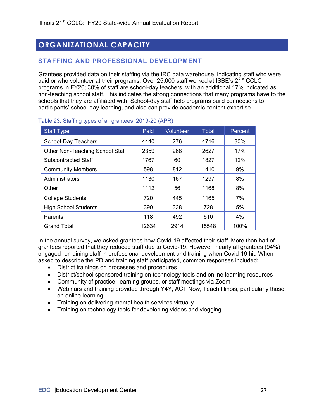## **ORGANIZATIONAL CAPACITY**

## **STAFFING AND PROFESSIONAL DEVELOPMENT**

Grantees provided data on their staffing via the IRC data warehouse, indicating staff who were paid or who volunteer at their programs. Over 25,000 staff worked at ISBE's 21<sup>st</sup> CCLC programs in FY20; 30% of staff are school-day teachers, with an additional 17% indicated as non-teaching school staff. This indicates the strong connections that many programs have to the schools that they are affiliated with. School-day staff help programs build connections to participants' school-day learning, and also can provide academic content expertise.

| <b>Staff Type</b>               | Paid  | Volunteer | Total | Percent |
|---------------------------------|-------|-----------|-------|---------|
| <b>School-Day Teachers</b>      | 4440  | 276       | 4716  | 30%     |
| Other Non-Teaching School Staff | 2359  | 268       | 2627  | 17%     |
| <b>Subcontracted Staff</b>      | 1767  | 60        | 1827  | 12%     |
| <b>Community Members</b>        | 598   | 812       | 1410  | 9%      |
| Administrators                  | 1130  | 167       | 1297  | 8%      |
| Other                           | 1112  | 56        | 1168  | 8%      |
| <b>College Students</b>         | 720   | 445       | 1165  | 7%      |
| <b>High School Students</b>     | 390   | 338       | 728   | 5%      |
| Parents                         | 118   | 492       | 610   | 4%      |
| <b>Grand Total</b>              | 12634 | 2914      | 15548 | 100%    |

#### Table 23: Staffing types of all grantees, 2019-20 (APR)

In the annual survey, we asked grantees how Covid-19 affected their staff. More than half of grantees reported that they reduced staff due to Covid-19. However, nearly all grantees (94%) engaged remaining staff in professional development and training when Covid-19 hit. When asked to describe the PD and training staff participated, common responses included:

- District trainings on processes and procedures
- District/school sponsored training on technology tools and online learning resources
- Community of practice, learning groups, or staff meetings via Zoom
- Webinars and training provided through Y4Y, ACT Now, Teach Illinois, particularly those on online learning
- Training on delivering mental health services virtually
- Training on technology tools for developing videos and vlogging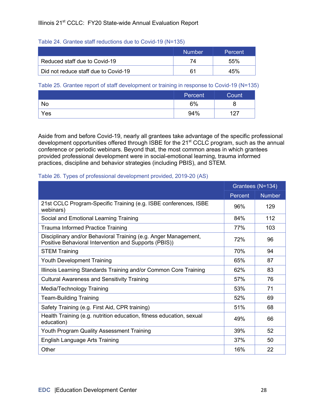#### Table 24. Grantee staff reductions due to Covid-19 (N=135)

|                                      | <b>Number</b> | Percent |
|--------------------------------------|---------------|---------|
| Reduced staff due to Covid-19        | 74            | 55%     |
| Did not reduce staff due to Covid-19 |               | 45%     |

#### Table 25. Grantee report of staff development or training in response to Covid-19 (N=135)

|     | Percent | Count      |
|-----|---------|------------|
| No  | 6%      |            |
| Yes | 94%     | 127<br>, I |

Aside from and before Covid-19, nearly all grantees take advantage of the specific professional development opportunities offered through ISBE for the 21<sup>st</sup> CCLC program, such as the annual conference or periodic webinars. Beyond that, the most common areas in which grantees provided professional development were in social-emotional learning, trauma informed practices, discipline and behavior strategies (including PBIS), and STEM.

#### Table 26. Types of professional development provided, 2019-20 (AS)

|                                                                                                                          |         | Grantees (N=134) |
|--------------------------------------------------------------------------------------------------------------------------|---------|------------------|
|                                                                                                                          | Percent | <b>Number</b>    |
| 21st CCLC Program-Specific Training (e.g. ISBE conferences, ISBE<br>webinars)                                            | 96%     | 129              |
| Social and Emotional Learning Training                                                                                   | 84%     | 112              |
| <b>Trauma Informed Practice Training</b>                                                                                 | 77%     | 103              |
| Disciplinary and/or Behavioral Training (e.g. Anger Management,<br>Positive Behavioral Intervention and Supports (PBIS)) | 72%     | 96               |
| <b>STEM Training</b>                                                                                                     | 70%     | 94               |
| <b>Youth Development Training</b>                                                                                        | 65%     | 87               |
| Illinois Learning Standards Training and/or Common Core Training                                                         | 62%     | 83               |
| <b>Cultural Awareness and Sensitivity Training</b>                                                                       | 57%     | 76               |
| Media/Technology Training                                                                                                | 53%     | 71               |
| <b>Team-Building Training</b>                                                                                            | 52%     | 69               |
| Safety Training (e.g. First Aid, CPR training)                                                                           | 51%     | 68               |
| Health Training (e.g. nutrition education, fitness education, sexual<br>education)                                       | 49%     | 66               |
| Youth Program Quality Assessment Training                                                                                | 39%     | 52               |
| English Language Arts Training                                                                                           | 37%     | 50               |
| Other                                                                                                                    | 16%     | 22               |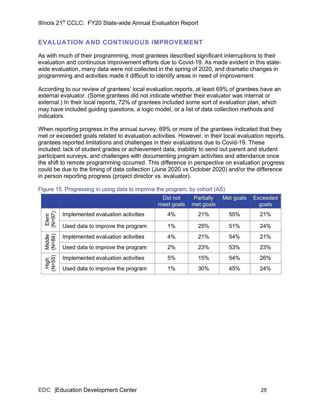### **EVALUATION AND CONTINUOUS IMPROVEMENT**

As with much of their programming, most grantees described significant interruptions to their evaluation and continuous improvement efforts due to Covid-19. As made evident in this statewide evaluation, many data were not collected in the spring of 2020, and dramatic changes in programming and activities made it difficult to identify areas in need of improvement.

According to our review of grantees' local evaluation reports, at least 69% of grantees have an external evaluator. (Some grantees did not indicate whether their evaluator was internal or external.) In their local reports, 72% of grantees included some sort of evaluation plan, which may have included guiding questions, a logic model, or a list of data collection methods and indicators.

When reporting progress in the annual survey, 69% or more of the grantees indicated that they met or exceeded goals related to evaluation activities. However, in their local evaluation reports, grantees reported limitations and challenges in their evaluations due to Covid-19. These included: lack of student grades or achievement data, inability to send out parent and student participant surveys, and challenges with documenting program activities and attendance once the shift to remote programming occurred. This difference in perspective on evaluation progress could be due to the timing of data collection (June 2020 vs October 2020) and/or the difference in person reporting progress (project director vs. evaluator).

|                  |                                   | Did not<br>meet goals | Partially<br>met goals | Met goals | <b>Exceeded</b><br>goals |
|------------------|-----------------------------------|-----------------------|------------------------|-----------|--------------------------|
| $Elem(N=97)$     | Implemented evaluation activities | 4%                    | 21%                    | 55%       | 21%                      |
|                  | Used data to improve the program  | 1%                    | 25%                    | 51%       | 24%                      |
| Middle<br>(N=84) | Implemented evaluation activities | 4%                    | 21%                    | 54%       | 21%                      |
|                  | Used data to improve the program  | 2%                    | 23%                    | 53%       | 23%                      |
| $High$<br>(N=55) | Implemented evaluation activities | 5%                    | 15%                    | 54%       | 26%                      |
|                  | Used data to improve the program  | 1%                    | 30%                    | 45%       | 24%                      |

#### Figure 15. Progressing in using data to improve the program, by cohort (AS)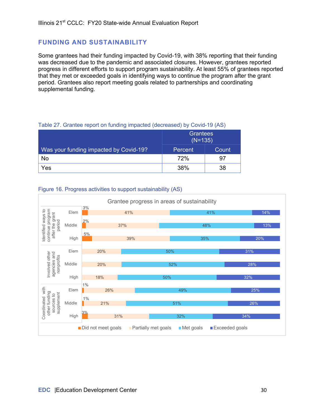### **FUNDING AND SUSTAINABILITY**

Some grantees had their funding impacted by Covid-19, with 38% reporting that their funding was decreased due to the pandemic and associated closures. However, grantees reported progress in different efforts to support program sustainability. At least 55% of grantees reported that they met or exceeded goals in identifying ways to continue the program after the grant period. Grantees also report meeting goals related to partnerships and coordinating supplemental funding.

#### Table 27. Grantee report on funding impacted (decreased) by Covid-19 (AS)

|                                        | <b>Grantees</b><br>$(N=135)$ |       |  |
|----------------------------------------|------------------------------|-------|--|
| Was your funding impacted by Covid-19? | Percent                      | Count |  |
| No                                     | <b>72%</b>                   | 97    |  |
| Yes                                    | 38%                          | 38    |  |

#### Figure 16. Progress activities to support sustainability (AS)

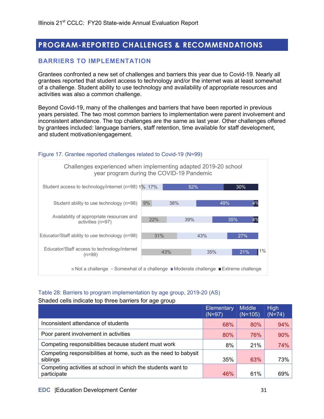## **PROGRAM-REPORTED CHALLENGES & RECOMMENDATIONS**

## **BARRIERS TO IMPLEMENTATION**

Grantees confronted a new set of challenges and barriers this year due to Covid-19. Nearly all grantees reported that student access to technology and/or the internet was at least somewhat of a challenge. Student ability to use technology and availability of appropriate resources and activities was also a common challenge.

Beyond Covid-19, many of the challenges and barriers that have been reported in previous years persisted. The two most common barriers to implementation were parent involvement and inconsistent attendance. The top challenges are the same as last year. Other challenges offered by grantees included: language barriers, staff retention, time available for staff development, and student motivation/engagement.



#### Figure 17. Grantee reported challenges related to Covid-19 (N=99)

#### Table 28: Barriers to program implementation by age group, 2019-20 (AS)

Shaded cells indicate top three barriers for age group

|                                                                             | Elementary<br>$(N=97)$ | <b>Middle</b><br>$(N=105)$ | <b>High</b><br>$(N=74)$ |
|-----------------------------------------------------------------------------|------------------------|----------------------------|-------------------------|
| Inconsistent attendance of students                                         | 68%                    | $80\%$                     | 94%                     |
| Poor parent involvement in activities                                       | 80%                    | 76%                        | 90%                     |
| Competing responsibilities because student must work                        | 8%                     | 21%                        | 74%                     |
| Competing responsibilities at home, such as the need to babysit<br>siblings | 35%                    | 63%                        | 73%                     |
| Competing activities at school in which the students want to<br>participate | 46%                    | 61%                        | 69%                     |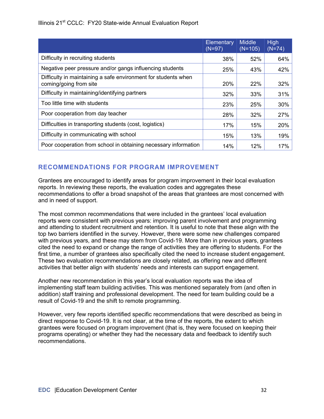|                                                                                          | Elementary<br>$(N=97)$ | <b>Middle</b><br>$(N=105)$ | High<br>$(N=74)$ |
|------------------------------------------------------------------------------------------|------------------------|----------------------------|------------------|
| Difficulty in recruiting students                                                        | 38%                    | 52%                        | 64%              |
| Negative peer pressure and/or gangs influencing students                                 | 25%                    | 43%                        | 42%              |
| Difficulty in maintaining a safe environment for students when<br>coming/going from site | <b>20%</b>             | 22%                        | 32%              |
| Difficulty in maintaining/identifying partners                                           | 32%                    | 33%                        | 31%              |
| Too little time with students                                                            | 23%                    | 25%                        | 30%              |
| Poor cooperation from day teacher                                                        | 28%                    | 32%                        | 27%              |
| Difficulties in transporting students (cost, logistics)                                  | 17%                    | 15%                        | 20%              |
| Difficulty in communicating with school                                                  | 15%                    | 13%                        | 19%              |
| Poor cooperation from school in obtaining necessary information                          | 14%                    | 12%                        | 17%              |

## **RECOMMENDATIONS FOR PROGRAM IMPROVEMENT**

Grantees are encouraged to identify areas for program improvement in their local evaluation reports. In reviewing these reports, the evaluation codes and aggregates these recommendations to offer a broad snapshot of the areas that grantees are most concerned with and in need of support.

The most common recommendations that were included in the grantees' local evaluation reports were consistent with previous years: improving parent involvement and programming and attending to student recruitment and retention. It is useful to note that these align with the top two barriers identified in the survey. However, there were some new challenges compared with previous years, and these may stem from Covid-19. More than in previous years, grantees cited the need to expand or change the range of activities they are offering to students. For the first time, a number of grantees also specifically cited the need to increase student engagement. These two evaluation recommendations are closely related, as offering new and different activities that better align with students' needs and interests can support engagement.

Another new recommendation in this year's local evaluation reports was the idea of implementing staff team building activities. This was mentioned separately from (and often in addition) staff training and professional development. The need for team building could be a result of Covid-19 and the shift to remote programming.

However, very few reports identified specific recommendations that were described as being in direct response to Covid-19. It is not clear, at the time of the reports, the extent to which grantees were focused on program improvement (that is, they were focused on keeping their programs operating) or whether they had the necessary data and feedback to identify such recommendations.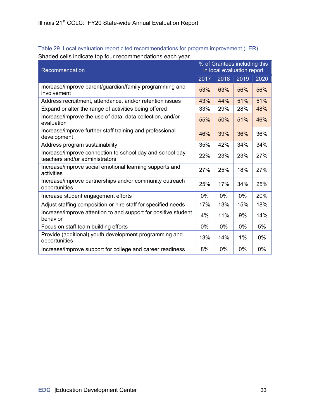| Recommendation                                                                             |       | % of Grantees including this<br>in local evaluation report |       |      |  |
|--------------------------------------------------------------------------------------------|-------|------------------------------------------------------------|-------|------|--|
|                                                                                            | 2017  | 2018                                                       | 2019  | 2020 |  |
| Increase/improve parent/guardian/family programming and<br>involvement                     | 53%   | 63%                                                        | 56%   | 56%  |  |
| Address recruitment, attendance, and/or retention issues                                   | 43%   | 44%                                                        | 51%   | 51%  |  |
| Expand or alter the range of activities being offered                                      | 33%   | 29%                                                        | 28%   | 48%  |  |
| Increase/improve the use of data, data collection, and/or<br>evaluation                    | 55%   | 50%                                                        | 51%   | 46%  |  |
| Increase/improve further staff training and professional<br>development                    | 46%   | 39%                                                        | 36%   | 36%  |  |
| Address program sustainability                                                             | 35%   | 42%                                                        | 34%   | 34%  |  |
| Increase/improve connection to school day and school day<br>teachers and/or administrators | 22%   | 23%                                                        | 23%   | 27%  |  |
| Increase/improve social emotional learning supports and<br>activities                      | 27%   | 25%                                                        | 18%   | 27%  |  |
| Increase/improve partnerships and/or community outreach<br>opportunities                   | 25%   | 17%                                                        | 34%   | 25%  |  |
| Increase student engagement efforts                                                        | $0\%$ | 0%                                                         | 0%    | 20%  |  |
| Adjust staffing composition or hire staff for specified needs                              | 17%   | 13%                                                        | 15%   | 18%  |  |
| Increase/improve attention to and support for positive student<br>behavior                 | 4%    | 11%                                                        | 9%    | 14%  |  |
| Focus on staff team building efforts                                                       | $0\%$ | 0%                                                         | $0\%$ | 5%   |  |
| Provide (additional) youth development programming and<br>opportunities                    | 13%   | 14%                                                        | 1%    | 0%   |  |
| Increase/improve support for college and career readiness                                  | 8%    | 0%                                                         | $0\%$ | 0%   |  |

Table 29. Local evaluation report cited recommendations for program improvement (LER) Shaded cells indicate top four recommendations each year.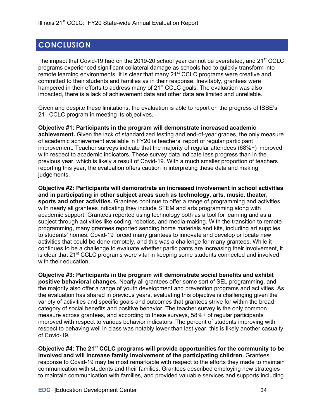## **CONCLUSION**

The impact that Covid-19 had on the 2019-20 school year cannot be overstated, and 21<sup>st</sup> CCLC programs experienced significant collateral damage as schools had to quickly transform into remote learning environments. It is clear that many 21<sup>st</sup> CCLC programs were creative and committed to their students and families as in their response. Inevitably, grantees were hampered in their efforts to address many of  $21<sup>st</sup> CCLC$  goals. The evaluation was also impacted, there is a lack of achievement data and other data are limited and unreliable.

Given and despite these limitations, the evaluation is able to report on the progress of ISBE's 21<sup>st</sup> CCLC program in meeting its objectives.

**Objective #1: Participants in the program will demonstrate increased academic achievement.** Given the lack of standardized testing and end-of-year grades, the only measure of academic achievement available in FY20 is teachers' report of regular participant improvement. Teacher surveys indicate that the majority of regular attendees (68%+) improved with respect to academic indicators. These survey data indicate less progress than in the previous year, which is likely a result of Covid-19. With a much smaller proportion of teachers reporting this year, the evaluation offers caution in interpreting these data and making judgements.

**Objective #2: Participants will demonstrate an increased involvement in school activities and in participating in other subject areas such as technology, arts, music, theater, sports and other activities.** Grantees continue to offer a range of programming and activities, with nearly all grantees indicating they include STEM and arts programming along with academic support. Grantees reported using technology both as a tool for learning and as a subject through activities like coding, robotics, and media-making. With the transition to remote programming, many grantees reported sending home materials and kits, including art supplies, to students' homes. Covid-19 forced many grantees to innovate and develop or locate new activities that could be done remotely, and this was a challenge for many grantees. While it continues to be a challenge to evaluate whether participants are increasing their involvement, it is clear that  $21<sup>st</sup>$  CCLC programs were vital in keeping some students connected and involved with their education.

**Objective #3: Participants in the program will demonstrate social benefits and exhibit positive behavioral changes.** Nearly all grantees offer some sort of SEL programming, and the majority also offer a range of youth development and prevention programs and activities. As the evaluation has shared in previous years, evaluating this objective is challenging given the variety of activities and specific goals and outcomes that grantees strive for within the broad category of social benefits and positive behavior. The teacher survey is the only common measure across grantees, and according to these surveys, 58%+ of regular participants improved with respect to various behavior indicators. The percent of students improving with respect to behaving well in class was notably lower than last year; this is likely another casualty of Covid-19.

**Objective #4: The 21st CCLC programs will provide opportunities for the community to be involved and will increase family involvement of the participating children.** Grantees response to Covid-19 may be most remarkable with respect to the efforts they made to maintain communication with students and their families. Grantees described employing new strategies to maintain communication with families, and provided valuable services and supports including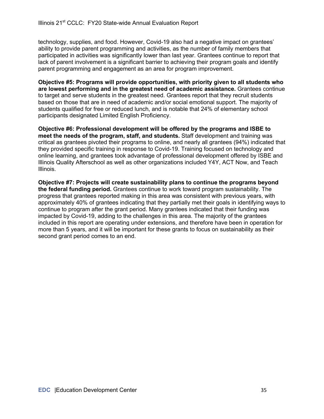technology, supplies, and food. However, Covid-19 also had a negative impact on grantees' ability to provide parent programming and activities, as the number of family members that participated in activities was significantly lower than last year. Grantees continue to report that lack of parent involvement is a significant barrier to achieving their program goals and identify parent programming and engagement as an area for program improvement.

**Objective #5: Programs will provide opportunities, with priority given to all students who are lowest performing and in the greatest need of academic assistance.** Grantees continue to target and serve students in the greatest need. Grantees report that they recruit students based on those that are in need of academic and/or social emotional support. The majority of students qualified for free or reduced lunch, and is notable that 24% of elementary school participants designated Limited English Proficiency.

**Objective #6: Professional development will be offered by the programs and ISBE to meet the needs of the program, staff, and students.** Staff development and training was critical as grantees pivoted their programs to online, and nearly all grantees (94%) indicated that they provided specific training in response to Covid-19. Training focused on technology and online learning, and grantees took advantage of professional development offered by ISBE and Illinois Quality Afterschool as well as other organizations included Y4Y, ACT Now, and Teach Illinois.

**Objective #7: Projects will create sustainability plans to continue the programs beyond the federal funding period.** Grantees continue to work toward program sustainability. The progress that grantees reported making in this area was consistent with previous years, with approximately 40% of grantees indicating that they partially met their goals in identifying ways to continue to program after the grant period. Many grantees indicated that their funding was impacted by Covid-19, adding to the challenges in this area. The majority of the grantees included in this report are operating under extensions, and therefore have been in operation for more than 5 years, and it will be important for these grants to focus on sustainability as their second grant period comes to an end.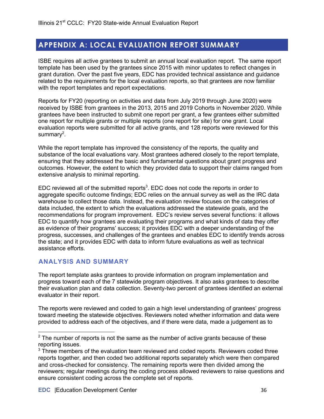## **APPENDIX A: LOCAL EVALUATION REPORT SUMMARY**

ISBE requires all active grantees to submit an annual local evaluation report. The same report template has been used by the grantees since 2015 with minor updates to reflect changes in grant duration. Over the past five years, EDC has provided technical assistance and guidance related to the requirements for the local evaluation reports, so that grantees are now familiar with the report templates and report expectations.

Reports for FY20 (reporting on activities and data from July 2019 through June 2020) were received by ISBE from grantees in the 2013, 2015 and 2019 Cohorts in November 2020. While grantees have been instructed to submit one report per grant, a few grantees either submitted one report for multiple grants or multiple reports (one report for site) for one grant. Local evaluation reports were submitted for all active grants, and 128 reports were reviewed for this summary $^2$ .

While the report template has improved the consistency of the reports, the quality and substance of the local evaluations vary. Most grantees adhered closely to the report template, ensuring that they addressed the basic and fundamental questions about grant progress and outcomes. However, the extent to which they provided data to support their claims ranged from extensive analysis to minimal reporting.

EDC reviewed all of the submitted reports<sup>3</sup>. EDC does not code the reports in order to aggregate specific outcome findings; EDC relies on the annual survey as well as the IRC data warehouse to collect those data. Instead, the evaluation review focuses on the categories of data included, the extent to which the evaluations addressed the statewide goals, and the recommendations for program improvement. EDC's review serves several functions: it allows EDC to quantify how grantees are evaluating their programs and what kinds of data they offer as evidence of their programs' success; it provides EDC with a deeper understanding of the progress, successes, and challenges of the grantees and enables EDC to identify trends across the state; and it provides EDC with data to inform future evaluations as well as technical assistance efforts.

## **ANALYSIS AND SUMMARY**

The report template asks grantees to provide information on program implementation and progress toward each of the 7 statewide program objectives. It also asks grantees to describe their evaluation plan and data collection. Seventy-two percent of grantees identified an external evaluator in their report.

The reports were reviewed and coded to gain a high level understanding of grantees' progress toward meeting the statewide objectives. Reviewers noted whether information and data were provided to address each of the objectives, and if there were data, made a judgement as to

 $2$  The number of reports is not the same as the number of active grants because of these reporting issues.

 $3$  Three members of the evaluation team reviewed and coded reports. Reviewers coded three reports together, and then coded two additional reports separately which were then compared and cross-checked for consistency. The remaining reports were then divided among the reviewers; regular meetings during the coding process allowed reviewers to raise questions and ensure consistent coding across the complete set of reports.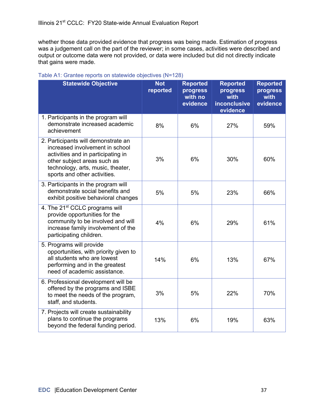whether those data provided evidence that progress was being made. Estimation of progress was a judgement call on the part of the reviewer; in some cases, activities were described and output or outcome data were not provided, or data were included but did not directly indicate that gains were made.

| <b>Statewide Objective</b>                                                                                                                                                                                       | <b>Not</b><br>reported | <b>Reported</b><br>progress<br>with no<br>evidence | <b>Reported</b><br>progress<br>with<br><b>inconclusive</b><br>evidence | <b>Reported</b><br>progress<br>with<br>evidence |
|------------------------------------------------------------------------------------------------------------------------------------------------------------------------------------------------------------------|------------------------|----------------------------------------------------|------------------------------------------------------------------------|-------------------------------------------------|
| 1. Participants in the program will<br>demonstrate increased academic<br>achievement                                                                                                                             | 8%                     | 6%                                                 | 27%                                                                    | 59%                                             |
| 2. Participants will demonstrate an<br>increased involvement in school<br>activities and in participating in<br>other subject areas such as<br>technology, arts, music, theater,<br>sports and other activities. | 3%                     | 6%                                                 | 30%                                                                    | 60%                                             |
| 3. Participants in the program will<br>demonstrate social benefits and<br>exhibit positive behavioral changes                                                                                                    | 5%                     | 5%                                                 | 23%                                                                    | 66%                                             |
| 4. The 21 <sup>st</sup> CCLC programs will<br>provide opportunities for the<br>community to be involved and will<br>increase family involvement of the<br>participating children.                                | 4%                     | 6%                                                 | 29%                                                                    | 61%                                             |
| 5. Programs will provide<br>opportunities, with priority given to<br>all students who are lowest<br>performing and in the greatest<br>need of academic assistance.                                               | 14%                    | 6%                                                 | 13%                                                                    | 67%                                             |
| 6. Professional development will be<br>offered by the programs and ISBE<br>to meet the needs of the program,<br>staff, and students.                                                                             | 3%                     | 5%                                                 | 22%                                                                    | 70%                                             |
| 7. Projects will create sustainability<br>plans to continue the programs<br>beyond the federal funding period.                                                                                                   | 13%                    | 6%                                                 | 19%                                                                    | 63%                                             |

#### Table A1: Grantee reports on statewide objectives (N=128)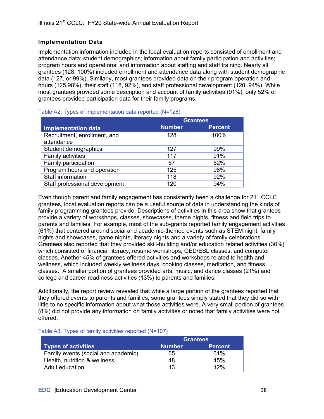#### **Implementation Data**

Implementation information included in the local evaluation reports consisted of enrollment and attendance data; student demographics; information about family participation and activities; program hours and operations; and information about staffing and staff training. Nearly all grantees (128, 100%) included enrollment and attendance data along with student demographic data (127, or 99%). Similarly, most grantees provided data on their program operation and hours (125,98%), their staff (118, 92%), and staff professional development (120, 94%). While most grantees provided some description and account of family activities (91%), only 52% of grantees provided participation data for their family programs.

|                                | <b>Grantees</b> |                |  |
|--------------------------------|-----------------|----------------|--|
| <b>Implementation data</b>     | <b>Number</b>   | <b>Percent</b> |  |
| Recruitment, enrollment, and   | 128             | 100%           |  |
| attendance                     |                 |                |  |
| Student demographics           | 127             | 99%            |  |
| Family activities              | 117             | 91%            |  |
| Family participation           | 67              | 52%            |  |
| Program hours and operation    | 125             | 98%            |  |
| Staff information              | 118             | 92%            |  |
| Staff professional development | 120             | 94%            |  |

#### Table A2: Types of implementation data reported (N=128)

Even though parent and family engagement has consistently been a challenge for 21<sup>st</sup> CCLC grantees, local evaluation reports can be a useful source of data in understanding the kinds of family programming grantees provide. Descriptions of activities in this area show that grantees provide a variety of workshops, classes, showcases, theme nights, fitness and field trips to parents and families. For example, most of the sub-grants reported family engagement activities (61%) that centered around social and academic-themed events such as STEM night, family nights and showcases, game nights, literacy nights and a variety of family celebrations. Grantees also reported that they provided skill-building and/or education related activities (30%) which consisted of financial literacy, resume workshops, GED/ESL classes, and computer classes. Another 45% of grantees offered activities and workshops related to health and wellness, which included weekly wellness days, cooking classes, meditation, and fitness classes. A smaller portion of grantees provided arts, music, and dance classes (21%) and college and career readiness activities (13%) to parents and families.

Additionally, the report review revealed that while a large portion of the grantees reported that they offered events to parents and families, some grantees simply stated that they did so with little to no specific information about what those activities were. A very small portion of grantees (8%) did not provide any information on family activities or noted that family activities were not offered.

|                                     | <b>Grantees</b> |                |  |
|-------------------------------------|-----------------|----------------|--|
| <b>Types of activities</b>          | <b>Number</b>   | <b>Percent</b> |  |
| Family events (social and academic) | 65              | 61%            |  |
| Health, nutrition & wellness        | 48              | 45%            |  |
| Adult education                     | 13              | 12%            |  |

#### Table A3: Types of family activities reported (N=107)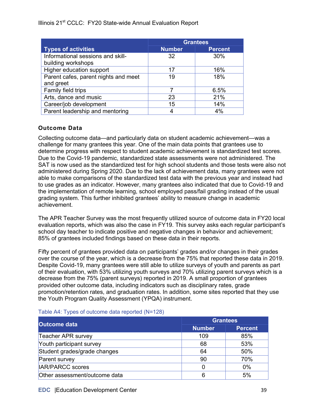Illinois 21<sup>st</sup> CCLC: FY20 State-wide Annual Evaluation Report

|                                      | <b>Grantees</b> |                |  |
|--------------------------------------|-----------------|----------------|--|
| <b>Types of activities</b>           | <b>Number</b>   | <b>Percent</b> |  |
| Informational sessions and skill-    | 32              | 30%            |  |
| building workshops                   |                 |                |  |
| Higher education support             | 17              | 16%            |  |
| Parent cafes, parent nights and meet | 19              | 18%            |  |
| and greet                            |                 |                |  |
| Family field trips                   |                 | 6.5%           |  |
| Arts, dance and music                | 23              | 21%            |  |
| Career/job development               | 15              | 14%            |  |
| Parent leadership and mentoring      |                 | 4%             |  |

### **Outcome Data**

Collecting outcome data—and particularly data on student academic achievement—was a challenge for many grantees this year. One of the main data points that grantees use to determine progress with respect to student academic achievement is standardized test scores. Due to the Covid-19 pandemic, standardized state assessments were not administered. The SAT is now used as the standardized test for high school students and those tests were also not administered during Spring 2020. Due to the lack of achievement data, many grantees were not able to make comparisons of the standardized test data with the previous year and instead had to use grades as an indicator. However, many grantees also indicated that due to Covid-19 and the implementation of remote learning, school employed pass/fail grading instead of the usual grading system. This further inhibited grantees' ability to measure change in academic achievement.

The APR Teacher Survey was the most frequently utilized source of outcome data in FY20 local evaluation reports, which was also the case in FY19. This survey asks each regular participant's school day teacher to indicate positive and negative changes in behavior and achievement; 85% of grantees included findings based on these data in their reports.

Fifty percent of grantees provided data on participants' grades and/or changes in their grades over the course of the year, which is a decrease from the 75% that reported these data in 2019. Despite Covid-19, many grantees were still able to utilize surveys of youth and parents as part of their evaluation, with 53% utilizing youth surveys and 70% utilizing parent surveys which is a decrease from the 75% (parent surveys) reported in 2019. A small proportion of grantees provided other outcome data, including indicators such as disciplinary rates, grade promotion/retention rates, and graduation rates. In addition, some sites reported that they use the Youth Program Quality Assessment (YPQA) instrument.

|                               | <b>Grantees</b> |                |  |
|-------------------------------|-----------------|----------------|--|
| <b>Outcome data</b>           | <b>Number</b>   | <b>Percent</b> |  |
| Teacher APR survey            | 109             | 85%            |  |
| Youth participant survey      | 68              | 53%            |  |
| Student grades/grade changes  | 64              | 50%            |  |
| Parent survey                 | 90              | 70%            |  |
| IAR/PARCC scores              | 0               | $0\%$          |  |
| Other assessment/outcome data | 6               | 5%             |  |

#### Table A4: Types of outcome data reported (N=128)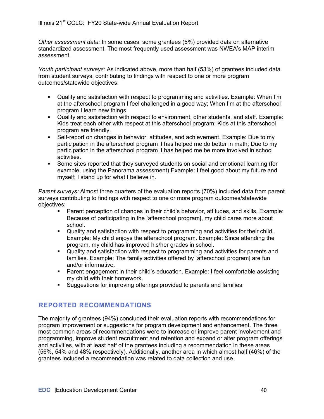*Other assessment data:* In some cases, some grantees (5%) provided data on alternative standardized assessment. The most frequently used assessment was NWEA's MAP interim assessment.

*Youth participant surveys:* As indicated above, more than half (53%) of grantees included data from student surveys, contributing to findings with respect to one or more program outcomes/statewide objectives:

- § Quality and satisfaction with respect to programming and activities. Example: When I'm at the afterschool program I feel challenged in a good way; When I'm at the afterschool program I learn new things.
- § Quality and satisfaction with respect to environment, other students, and staff. Example: Kids treat each other with respect at this afterschool program; Kids at this afterschool program are friendly.
- Self-report on changes in behavior, attitudes, and achievement. Example: Due to my participation in the afterschool program it has helped me do better in math; Due to my participation in the afterschool program it has helped me be more involved in school activities.
- Some sites reported that they surveyed students on social and emotional learning (for example, using the Panorama assessment) Example: I feel good about my future and myself; I stand up for what I believe in.

*Parent surveys:* Almost three quarters of the evaluation reports (70%) included data from parent surveys contributing to findings with respect to one or more program outcomes/statewide objectives:

- **Parent perception of changes in their child's behavior, attitudes, and skills. Example:** Because of participating in the [afterschool program], my child cares more about school.
- § Quality and satisfaction with respect to programming and activities for their child. Example: My child enjoys the afterschool program. Example: Since attending the program, my child has improved his/her grades in school.
- Quality and satisfaction with respect to programming and activities for parents and families. Example: The family activities offered by [afterschool program] are fun and/or informative.
- Parent engagement in their child's education. Example: I feel comfortable assisting my child with their homework.
- § Suggestions for improving offerings provided to parents and families.

## **REPORTED RECOMMENDATIONS**

The majority of grantees (94%) concluded their evaluation reports with recommendations for program improvement or suggestions for program development and enhancement. The three most common areas of recommendations were to increase or improve parent involvement and programming, improve student recruitment and retention and expand or alter program offerings and activities, with at least half of the grantees including a recommendation in these areas (56%, 54% and 48% respectively). Additionally, another area in which almost half (46%) of the grantees included a recommendation was related to data collection and use.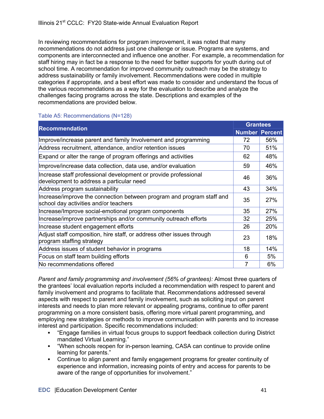In reviewing recommendations for program improvement, it was noted that many recommendations do not address just one challenge or issue. Programs are systems, and components are interconnected and influence one another. For example, a recommendation for staff hiring may in fact be a response to the need for better supports for youth during out of school time. A recommendation for improved community outreach may be the strategy to address sustainability or family involvement. Recommendations were coded in multiple categories if appropriate, and a best effort was made to consider and understand the focus of the various recommendations as a way for the evaluation to describe and analyze the challenges facing programs across the state. Descriptions and examples of the recommendations are provided below.

#### Table A5: Recommendations (N=128)

| <b>Recommendation</b>                                                                                          |                       | <b>Grantees</b> |  |
|----------------------------------------------------------------------------------------------------------------|-----------------------|-----------------|--|
|                                                                                                                | <b>Number Percent</b> |                 |  |
| Improve/increase parent and family Involvement and programming                                                 | 72                    | 56%             |  |
| Address recruitment, attendance, and/or retention issues                                                       | 70                    | 51%             |  |
| Expand or alter the range of program offerings and activities                                                  | 62                    | 48%             |  |
| Improve/increase data collection, data use, and/or evaluation                                                  | 59                    | 46%             |  |
| Increase staff professional development or provide professional<br>development to address a particular need    | 46                    | 36%             |  |
| Address program sustainability                                                                                 | 43                    | 34%             |  |
| Increase/improve the connection between program and program staff and<br>school day activities and/or teachers | 35                    | <b>27%</b>      |  |
| Increase/Improve social-emotional program components                                                           | 35                    | 27%             |  |
| Increase/improve partnerships and/or community outreach efforts                                                | 32                    | <b>25%</b>      |  |
| Increase student engagement efforts                                                                            | 26                    | 20%             |  |
| Adjust staff composition, hire staff, or address other issues through<br>program staffing strategy             | 23                    | 18%             |  |
| Address issues of student behavior in programs                                                                 | 18                    | 14%             |  |
| Focus on staff team building efforts                                                                           | 6                     | 5%              |  |
| No recommendations offered                                                                                     |                       | 6%              |  |

*Parent and family programming and involvement (56% of grantees):* Almost three quarters of the grantees' local evaluation reports included a recommendation with respect to parent and family involvement and programs to facilitate that. Recommendations addressed several aspects with respect to parent and family involvement, such as soliciting input on parent interests and needs to plan more relevant or appealing programs, continue to offer parent programming on a more consistent basis, offering more virtual parent programming**,** and employing new strategies or methods to improve communication with parents and to increase interest and participation. Specific recommendations included:

- § "Engage families in virtual focus groups to support feedback collection during District mandated Virtual Learning."
- § "When schools reopen for in-person learning, CASA can continue to provide online learning for parents."
- § Continue to align parent and family engagement programs for greater continuity of experience and information, increasing points of entry and access for parents to be aware of the range of opportunities for involvement."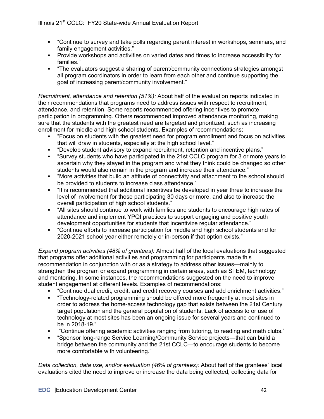- § "Continue to survey and take polls regarding parent interest in workshops, seminars, and family engagement activities."
- § Provide workshops and activities on varied dates and times to increase accessibility for families."
- § "The evaluators suggest a sharing of parent/community connections strategies amongst all program coordinators in order to learn from each other and continue supporting the goal of increasing parent/community involvement."

*Recruitment, attendance and retention (51%):* About half of the evaluation reports indicated in their recommendations that programs need to address issues with respect to recruitment, attendance, and retention. Some reports recommended offering incentives to promote participation in programming. Others recommended improved attendance monitoring, making sure that the students with the greatest need are targeted and prioritized, such as increasing enrollment for middle and high school students. Examples of recommendations:

- § "Focus on students with the greatest need for program enrollment and focus on activities that will draw in students, especially at the high school level."
- § "Develop student advisory to expand recruitment, retention and incentive plans."
- § "Survey students who have participated in the 21st CCLC program for 3 or more years to ascertain why they stayed in the program and what they think could be changed so other students would also remain in the program and increase their attendance."
- § "More activities that build an attitude of connectivity and attachment to the school should be provided to students to increase class attendance."
- § "It is recommended that additional incentives be developed in year three to increase the level of involvement for those participating 30 days or more, and also to increase the overall participation of high school students."
- § "All sites should continue to work with families and students to encourage high rates of attendance and implement YPQI practices to support engaging and positive youth development opportunities for students that incentivize regular attendance."
- § "Continue efforts to increase participation for middle and high school students and for 2020-2021 school year either remotely or in-person if that option exists."

*Expand program activities (48% of grantees):* Almost half of the local evaluations that suggested that programs offer additional activities and programming for participants made this recommendation in conjunction with or as a strategy to address other issues—mainly to strengthen the program or expand programming in certain areas, such as STEM, technology and mentoring. In some instances, the recommendations suggested on the need to improve student engagement at different levels. Examples of recommendations:

- § "Continue dual credit, credit, and credit recovery courses and add enrichment activities."
- § "Technology-related programming should be offered more frequently at most sites in order to address the home-access technology gap that exists between the 21st Century target population and the general population of students. Lack of access to or use of technology at most sites has been an ongoing issue for several years and continued to be in 2018-19."
- § "Continue offering academic activities ranging from tutoring, to reading and math clubs."
- § "Sponsor long-range Service Learning/Community Service projects—that can build a bridge between the community and the 21st CCLC—to encourage students to become more comfortable with volunteering."

*Data collection, data use, and/or evaluation (46% of grantees):* About half of the grantees' local evaluations cited the need to improve or increase the data being collected, collecting data for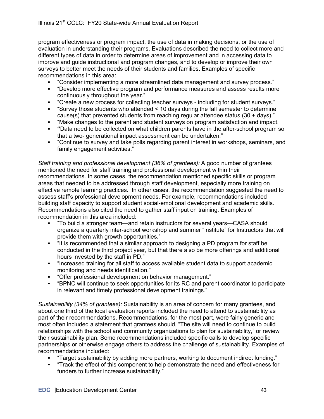program effectiveness or program impact, the use of data in making decisions, or the use of evaluation in understanding their programs. Evaluations described the need to collect more and different types of data in order to determine areas of improvement and in accessing data to improve and guide instructional and program changes, and to develop or improve their own surveys to better meet the needs of their students and families. Examples of specific recommendations in this area:

- § "Consider implementing a more streamlined data management and survey process."
- § "Develop more effective program and performance measures and assess results more continuously throughout the year."
- § "Create a new process for collecting teacher surveys including for student surveys."
- "Survey those students who attended < 10 days during the fall semester to determine cause(s) that prevented students from reaching regular attendee status  $(30 + days)$ ."
- § "Make changes to the parent and student surveys on program satisfaction and impact.
- § **"**Data need to be collected on what children parents have in the after-school program so that a two- generational impact assessment can be undertaken."
- § "Continue to survey and take polls regarding parent interest in workshops, seminars, and family engagement activities."

*Staff training and professional development (36% of grantees):* A good number of grantees mentioned the need for staff training and professional development within their recommendations. In some cases, the recommendation mentioned specific skills or program areas that needed to be addressed through staff development, especially more training on effective remote learning practices. In other cases, the recommendation suggested the need to assess staff's professional development needs. For example, recommendations included building staff capacity to support student social-emotional development and academic skills. Recommendations also cited the need to gather staff input on training. Examples of recommendation in this area included:

- § "To build a stronger team—and retain instructors for several years—CASA should organize a quarterly inter-school workshop and summer "institute" for Instructors that will provide them with growth opportunities."
- "It is recommended that a similar approach to designing a PD program for staff be conducted in the third project year, but that there also be more offerings and additional hours invested by the staff in PD."
- "Increased training for all staff to access available student data to support academic monitoring and needs identification."
- "Offer professional development on behavior management."
- § "BPNC will continue to seek opportunities for its RC and parent coordinator to participate in relevant and timely professional development trainings."

*Sustainability (34% of grantees):* Sustainability is an area of concern for many grantees, and about one third of the local evaluation reports included the need to attend to sustainability as part of their recommendations. Recommendations, for the most part, were fairly generic and most often included a statement that grantees should, "The site will need to continue to build relationships with the school and community organizations to plan for sustainability," or review their sustainability plan. Some recommendations included specific calls to develop specific partnerships or otherwise engage others to address the challenge of sustainability. Examples of recommendations included:

- § "Target sustainability by adding more partners, working to document indirect funding."
- § "Track the effect of this component to help demonstrate the need and effectiveness for funders to further increase sustainability."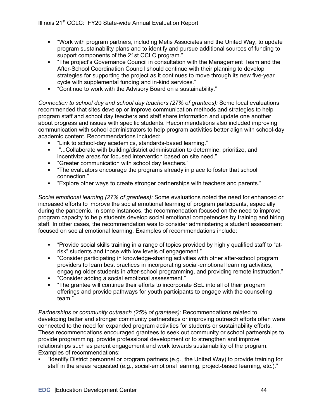- § "Work with program partners, including Metis Associates and the United Way, to update program sustainability plans and to identify and pursue additional sources of funding to support components of the 21st CCLC program."
- § "The project's Governance Council in consultation with the Management Team and the After-School Coordination Council should continue with their planning to develop strategies for supporting the project as it continues to move through its new five-year cycle with supplemental funding and in-kind services."
- "Continue to work with the Advisory Board on a sustainability."

*Connection to school day and school day teachers (27% of grantees):* Some local evaluations recommended that sites develop or improve communication methods and strategies to help program staff and school day teachers and staff share information and update one another about progress and issues with specific students. Recommendations also included improving communication with school administrators to help program activities better align with school-day academic content. Recommendations included:

- § "Link to school-day academics, standards-based learning."
- "...Collaborate with building/district administration to determine, prioritize, and incentivize areas for focused intervention based on site need."
- "Greater communication with school day teachers."
- § "The evaluators encourage the programs already in place to foster that school connection."
- § "Explore other ways to create stronger partnerships with teachers and parents."

*Social emotional learning (27% of grantees):* Some evaluations noted the need for enhanced or increased efforts to improve the social emotional learning of program participants, especially during the pandemic. In some instances, the recommendation focused on the need to improve program capacity to help students develop social emotional competencies by training and hiring staff. In other cases, the recommendation was to consider administering a student assessment focused on social emotional learning. Examples of recommendations include:

- § "Provide social skills training in a range of topics provided by highly qualified staff to "atrisk" students and those with low levels of engagement."
- § "Consider participating in knowledge-sharing activities with other after-school program providers to learn best practices in incorporating social-emotional learning activities, engaging older students in after-school programming, and providing remote instruction."
- § "Consider adding a social emotional assessment."
- § "The grantee will continue their efforts to incorporate SEL into all of their program offerings and provide pathways for youth participants to engage with the counseling team."

*Partnerships or community outreach (25% of grantees):* Recommendations related to developing better and stronger community partnerships or improving outreach efforts often were connected to the need for expanded program activities for students or sustainability efforts. These recommendations encouraged grantees to seek out community or school partnerships to provide programming, provide professional development or to strengthen and improve relationships such as parent engagement and work towards sustainability of the program. Examples of recommendations:

§ "Identify District personnel or program partners (e.g., the United Way) to provide training for staff in the areas requested (e.g., social-emotional learning, project-based learning, etc.)."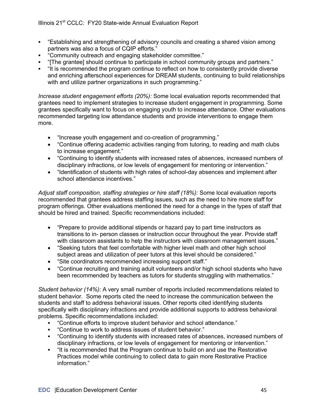- § "Establishing and strengthening of advisory councils and creating a shared vision among partners was also a focus of CQIP efforts."
- § "Community outreach and engaging stakeholder committee."
- § "[The grantee] should continue to participate in school community groups and partners."
- § "It is recommended the program continue to reflect on how to consistently provide diverse and enriching afterschool experiences for DREAM students, continuing to build relationships with and utilize partner organizations in such programming."

*Increase student engagement efforts (20%):* Some local evaluation reports recommended that grantees need to implement strategies to increase student engagement in programming. Some grantees specifically want to focus on engaging youth to increase attendance. Other evaluations recommended targeting low attendance students and provide interventions to engage them more.

- "Increase youth engagement and co-creation of programming."
- "Continue offering academic activities ranging from tutoring, to reading and math clubs to increase engagement."
- "Continuing to identify students with increased rates of absences, increased numbers of disciplinary infractions, or low levels of engagement for mentoring or intervention."
- "Identification of students with high rates of school-day absences and implement after school attendance incentives."

*Adjust staff composition, staffing strategies or hire staff (18%):* Some local evaluation reports recommended that grantees address staffing issues, such as the need to hire more staff for program offerings. Other evaluations mentioned the need for a change in the types of staff that should be hired and trained. Specific recommendations included:

- "Prepare to provide additional stipends or hazard pay to part time instructors as transitions to in- person classes or instruction occur throughout the year. Provide staff with classroom assistants to help the instructors with classroom management issues."
- "Seeking tutors that feel comfortable with higher level math and other high school subject areas and utilization of peer tutors at this level should be considered."
- "Site coordinators recommended increasing support staff."
- "Continue recruiting and training adult volunteers and/or high school students who have been recommended by teachers as tutors for students struggling with mathematics."

*Student behavior (14%):* A very small number of reports included recommendations related to student behavior. Some reports cited the need to increase the communication between the students and staff to address behavioral issues. Other reports cited identifying students specifically with disciplinary infractions and provide additional supports to address behavioral problems. Specific recommendations included:

- § "Continue efforts to improve student behavior and school attendance."
- § "Continue to work to address issues of student behavior."
- § "Continuing to identify students with increased rates of absences, increased numbers of disciplinary infractions, or low levels of engagement for mentoring or intervention."
- "It is recommended that the Program continue to build on and use the Restorative Practices model while continuing to collect data to gain more Restorative Practice information."